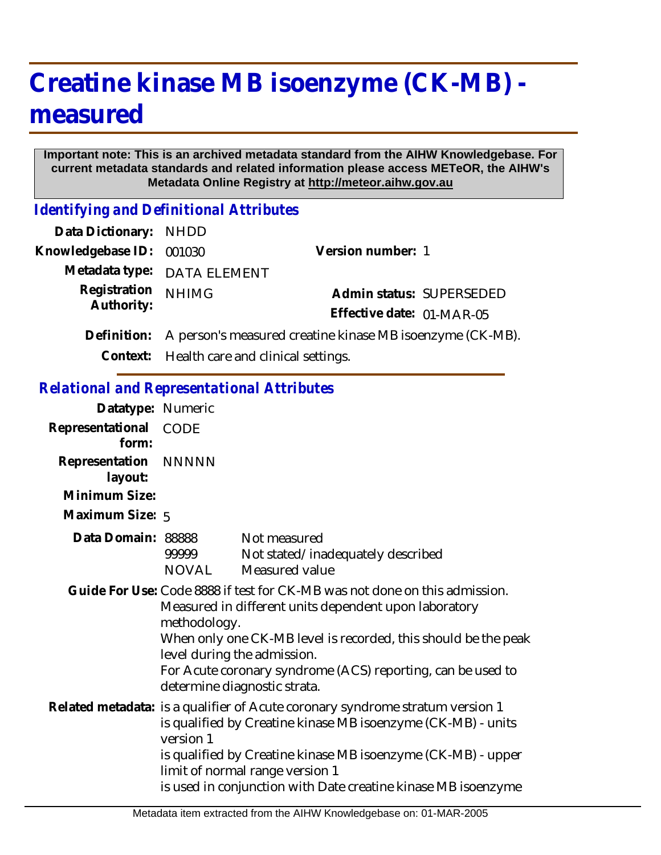# **Creatine kinase MB isoenzyme (CK-MB) measured**

#### **Important note: This is an archived metadata standard from the AIHW Knowledgebase. For current metadata standards and related information please access METeOR, the AIHW's Metadata Online Registry at http://meteor.aihw.gov.au**

*Identifying and Definitional Attributes*

| Data Dictionary: NHDD    |                                                                       |                           |                          |
|--------------------------|-----------------------------------------------------------------------|---------------------------|--------------------------|
| Knowledgebase ID: 001030 |                                                                       | Version number: 1         |                          |
|                          | Metadata type: DATA ELEMENT                                           |                           |                          |
| Registration             | <b>NHIMG</b>                                                          |                           | Admin status: SUPERSEDED |
| Authority:               |                                                                       | Effective date: 01-MAR-05 |                          |
|                          | Definition: A person's measured creatine kinase MB isoenzyme (CK-MB). |                           |                          |
|                          | Context: Health care and clinical settings.                           |                           |                          |

#### *Relational and Representational Attributes*

| Datatype: Numeric               |                                                                                                                                                                                                                                                                                                                                                     |                                                                     |  |
|---------------------------------|-----------------------------------------------------------------------------------------------------------------------------------------------------------------------------------------------------------------------------------------------------------------------------------------------------------------------------------------------------|---------------------------------------------------------------------|--|
| Representational<br>form:       | <b>CODE</b>                                                                                                                                                                                                                                                                                                                                         |                                                                     |  |
| Representation NNNNN<br>layout: |                                                                                                                                                                                                                                                                                                                                                     |                                                                     |  |
| Minimum Size:                   |                                                                                                                                                                                                                                                                                                                                                     |                                                                     |  |
| Maximum Size: 5                 |                                                                                                                                                                                                                                                                                                                                                     |                                                                     |  |
| Data Domain: 88888              | 99999<br>NOVAL                                                                                                                                                                                                                                                                                                                                      | Not measured<br>Not stated/inadequately described<br>Measured value |  |
|                                 | Guide For Use: Code 8888 if test for CK-MB was not done on this admission.<br>Measured in different units dependent upon laboratory<br>methodology.<br>When only one CK-MB level is recorded, this should be the peak<br>level during the admission.<br>For Acute coronary syndrome (ACS) reporting, can be used to<br>determine diagnostic strata. |                                                                     |  |
|                                 | Related metadata: is a qualifier of Acute coronary syndrome stratum version 1<br>is qualified by Creatine kinase MB isoenzyme (CK-MB) - units<br>version 1<br>is qualified by Creatine kinase MB isoenzyme (CK-MB) - upper<br>limit of normal range version 1<br>is used in conjunction with Date creatine kinase MB isoenzyme                      |                                                                     |  |